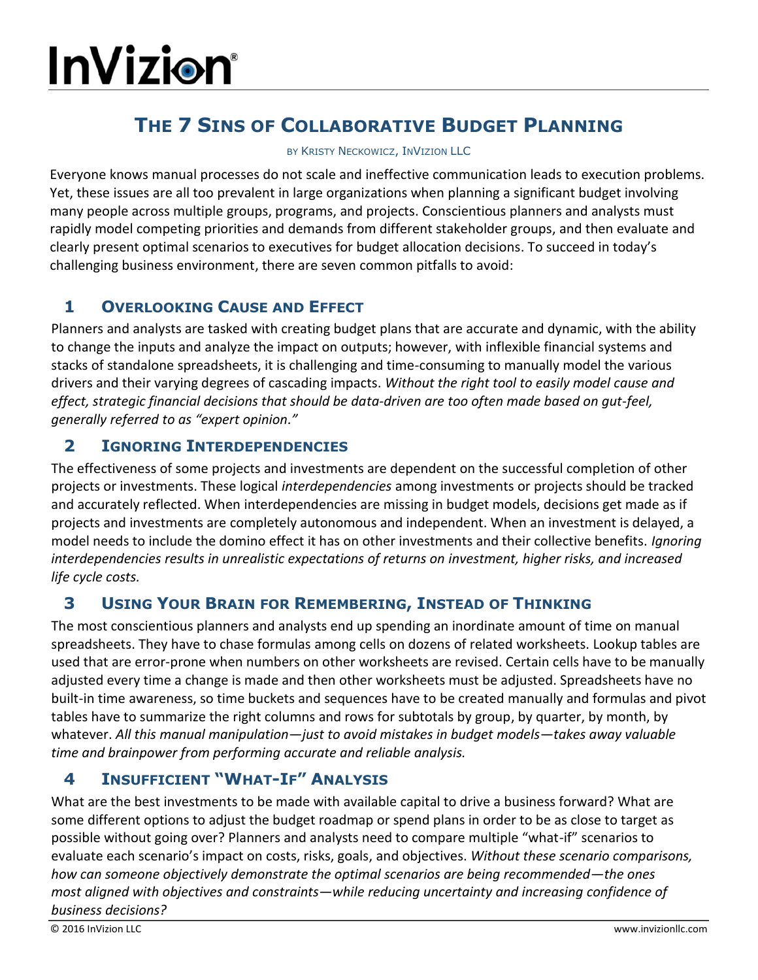# **InVizion**

# **THE 7 SINS OF COLLABORATIVE BUDGET PLANNING**

#### BY KRISTY NECKOWICZ, INVIZION LLC

Everyone knows manual processes do not scale and ineffective communication leads to execution problems. Yet, these issues are all too prevalent in large organizations when planning a significant budget involving many people across multiple groups, programs, and projects. Conscientious planners and analysts must rapidly model competing priorities and demands from different stakeholder groups, and then evaluate and clearly present optimal scenarios to executives for budget allocation decisions. To succeed in today's challenging business environment, there are seven common pitfalls to avoid:

## **1 OVERLOOKING CAUSE AND EFFECT**

Planners and analysts are tasked with creating budget plans that are accurate and dynamic, with the ability to change the inputs and analyze the impact on outputs; however, with inflexible financial systems and stacks of standalone spreadsheets, it is challenging and time-consuming to manually model the various drivers and their varying degrees of cascading impacts. *Without the right tool to easily model cause and effect, strategic financial decisions that should be data-driven are too often made based on gut-feel, generally referred to as "expert opinion."*

#### **2 IGNORING INTERDEPENDENCIES**

The effectiveness of some projects and investments are dependent on the successful completion of other projects or investments. These logical *interdependencies* among investments or projects should be tracked and accurately reflected. When interdependencies are missing in budget models, decisions get made as if projects and investments are completely autonomous and independent. When an investment is delayed, a model needs to include the domino effect it has on other investments and their collective benefits. *Ignoring interdependencies results in unrealistic expectations of returns on investment, higher risks, and increased life cycle costs.*

#### **3 USING YOUR BRAIN FOR REMEMBERING, INSTEAD OF THINKING**

The most conscientious planners and analysts end up spending an inordinate amount of time on manual spreadsheets. They have to chase formulas among cells on dozens of related worksheets. Lookup tables are used that are error-prone when numbers on other worksheets are revised. Certain cells have to be manually adjusted every time a change is made and then other worksheets must be adjusted. Spreadsheets have no built-in time awareness, so time buckets and sequences have to be created manually and formulas and pivot tables have to summarize the right columns and rows for subtotals by group, by quarter, by month, by whatever. *All this manual manipulation—just to avoid mistakes in budget models—takes away valuable time and brainpower from performing accurate and reliable analysis.*

## **4 INSUFFICIENT "WHAT-IF" ANALYSIS**

What are the best investments to be made with available capital to drive a business forward? What are some different options to adjust the budget roadmap or spend plans in order to be as close to target as possible without going over? Planners and analysts need to compare multiple "what-if" scenarios to evaluate each scenario's impact on costs, risks, goals, and objectives. *Without these scenario comparisons, how can someone objectively demonstrate the optimal scenarios are being recommended—the ones most aligned with objectives and constraints—while reducing uncertainty and increasing confidence of business decisions?*